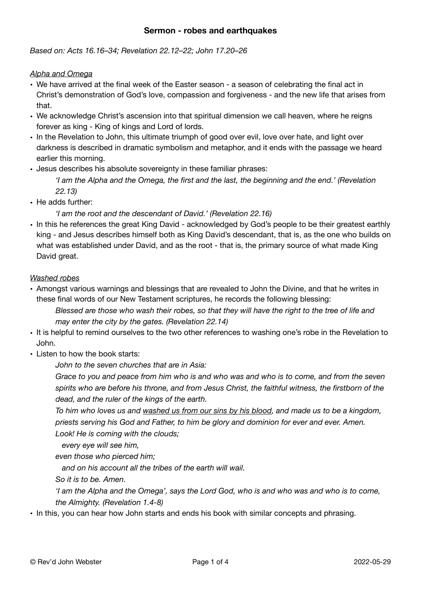## **Sermon - robes and earthquakes**

*Based on: Acts 16.16–34; Revelation 22.12–22; John 17.20–26* 

#### *Alpha and Omega*

- We have arrived at the final week of the Easter season a season of celebrating the final act in Christ's demonstration of God's love, compassion and forgiveness - and the new life that arises from that.
- We acknowledge Christ's ascension into that spiritual dimension we call heaven, where he reigns forever as king - King of kings and Lord of lords.
- In the Revelation to John, this ultimate triumph of good over evil, love over hate, and light over darkness is described in dramatic symbolism and metaphor, and it ends with the passage we heard earlier this morning.
- Jesus describes his absolute sovereignty in these familiar phrases:

*'I am the Alpha and the Omega, the first and the last, the beginning and the end.' (Revelation 22.13)* 

• He adds further:

*'I am the root and the descendant of David.' (Revelation 22.16)* 

• In this he references the great King David - acknowledged by God's people to be their greatest earthly king - and Jesus describes himself both as King David's descendant, that is, as the one who builds on what was established under David, and as the root - that is, the primary source of what made King David great.

#### *Washed robes*

• Amongst various warnings and blessings that are revealed to John the Divine, and that he writes in these final words of our New Testament scriptures, he records the following blessing:

*Blessed are those who wash their robes, so that they will have the right to the tree of life and may enter the city by the gates. (Revelation 22.14)* 

- It is helpful to remind ourselves to the two other references to washing one's robe in the Revelation to John.
- Listen to how the book starts:

*John to the seven churches that are in Asia:* 

*Grace to you and peace from him who is and who was and who is to come, and from the seven spirits who are before his throne, and from Jesus Christ, the faithful witness, the firstborn of the dead, and the ruler of the kings of the earth.* 

*To him who loves us and washed us from our sins by his blood, and made us to be a kingdom, priests serving his God and Father, to him be glory and dominion for ever and ever. Amen. Look! He is coming with the clouds;*

 *every eye will see him,*

*even those who pierced him;*

 *and on his account all the tribes of the earth will wail.*

*So it is to be. Amen.* 

*'I am the Alpha and the Omega', says the Lord God, who is and who was and who is to come, the Almighty. (Revelation 1.4-8)* 

• In this, you can hear how John starts and ends his book with similar concepts and phrasing.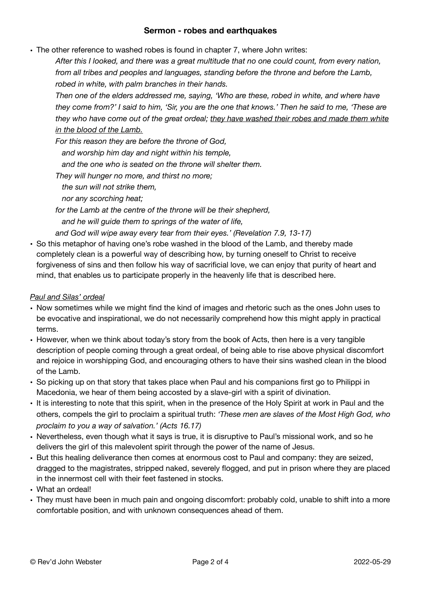### **Sermon - robes and earthquakes**

• The other reference to washed robes is found in chapter 7, where John writes:

*After this I looked, and there was a great multitude that no one could count, from every nation, from all tribes and peoples and languages, standing before the throne and before the Lamb, robed in white, with palm branches in their hands.* 

*Then one of the elders addressed me, saying, 'Who are these, robed in white, and where have they come from?' I said to him, 'Sir, you are the one that knows.' Then he said to me, 'These are they who have come out of the great ordeal; they have washed their robes and made them white in the blood of the Lamb.*

*For this reason they are before the throne of God,*

 *and worship him day and night within his temple,*

 *and the one who is seated on the throne will shelter them.* 

*They will hunger no more, and thirst no more;*

 *the sun will not strike them,*

 *nor any scorching heat;* 

*for the Lamb at the centre of the throne will be their shepherd, and he will guide them to springs of the water of life,*

*and God will wipe away every tear from their eyes.' (Revelation 7.9, 13-17)* 

• So this metaphor of having one's robe washed in the blood of the Lamb, and thereby made completely clean is a powerful way of describing how, by turning oneself to Christ to receive forgiveness of sins and then follow his way of sacrificial love, we can enjoy that purity of heart and mind, that enables us to participate properly in the heavenly life that is described here.

#### *Paul and Silas' ordeal*

- Now sometimes while we might find the kind of images and rhetoric such as the ones John uses to be evocative and inspirational, we do not necessarily comprehend how this might apply in practical terms.
- However, when we think about today's story from the book of Acts, then here is a very tangible description of people coming through a great ordeal, of being able to rise above physical discomfort and rejoice in worshipping God, and encouraging others to have their sins washed clean in the blood of the Lamb.
- So picking up on that story that takes place when Paul and his companions first go to Philippi in Macedonia, we hear of them being accosted by a slave-girl with a spirit of divination.
- It is interesting to note that this spirit, when in the presence of the Holy Spirit at work in Paul and the others, compels the girl to proclaim a spiritual truth: *'These men are slaves of the Most High God, who proclaim to you a way of salvation.' (Acts 16.17)*
- Nevertheless, even though what it says is true, it is disruptive to Paul's missional work, and so he delivers the girl of this malevolent spirit through the power of the name of Jesus.
- But this healing deliverance then comes at enormous cost to Paul and company: they are seized, dragged to the magistrates, stripped naked, severely flogged, and put in prison where they are placed in the innermost cell with their feet fastened in stocks.
- What an ordeal!
- They must have been in much pain and ongoing discomfort: probably cold, unable to shift into a more comfortable position, and with unknown consequences ahead of them.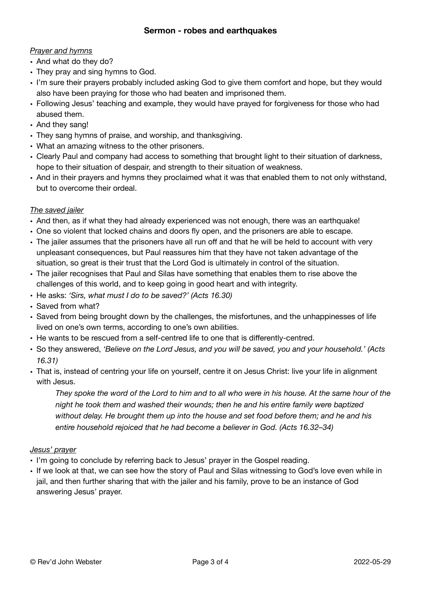# *Prayer and hymns*

- And what do they do?
- They pray and sing hymns to God.
- I'm sure their prayers probably included asking God to give them comfort and hope, but they would also have been praying for those who had beaten and imprisoned them.
- Following Jesus' teaching and example, they would have prayed for forgiveness for those who had abused them.
- And they sang!
- They sang hymns of praise, and worship, and thanksgiving.
- What an amazing witness to the other prisoners.
- Clearly Paul and company had access to something that brought light to their situation of darkness, hope to their situation of despair, and strength to their situation of weakness.
- And in their prayers and hymns they proclaimed what it was that enabled them to not only withstand, but to overcome their ordeal.

# *The saved jailer*

- And then, as if what they had already experienced was not enough, there was an earthquake!
- One so violent that locked chains and doors fly open, and the prisoners are able to escape.
- The jailer assumes that the prisoners have all run off and that he will be held to account with very unpleasant consequences, but Paul reassures him that they have not taken advantage of the situation, so great is their trust that the Lord God is ultimately in control of the situation.
- The jailer recognises that Paul and Silas have something that enables them to rise above the challenges of this world, and to keep going in good heart and with integrity.
- He asks: *'Sirs, what must I do to be saved?' (Acts 16.30)*
- Saved from what?
- Saved from being brought down by the challenges, the misfortunes, and the unhappinesses of life lived on one's own terms, according to one's own abilities.
- He wants to be rescued from a self-centred life to one that is differently-centred.
- So they answered, *'Believe on the Lord Jesus, and you will be saved, you and your household.' (Acts 16.31)*
- That is, instead of centring your life on yourself, centre it on Jesus Christ: live your life in alignment with Jesus.

*They spoke the word of the Lord to him and to all who were in his house. At the same hour of the night he took them and washed their wounds; then he and his entire family were baptized without delay. He brought them up into the house and set food before them; and he and his entire household rejoiced that he had become a believer in God. (Acts 16.32–34)* 

# *Jesus' prayer*

- I'm going to conclude by referring back to Jesus' prayer in the Gospel reading.
- If we look at that, we can see how the story of Paul and Silas witnessing to God's love even while in jail, and then further sharing that with the jailer and his family, prove to be an instance of God answering Jesus' prayer.